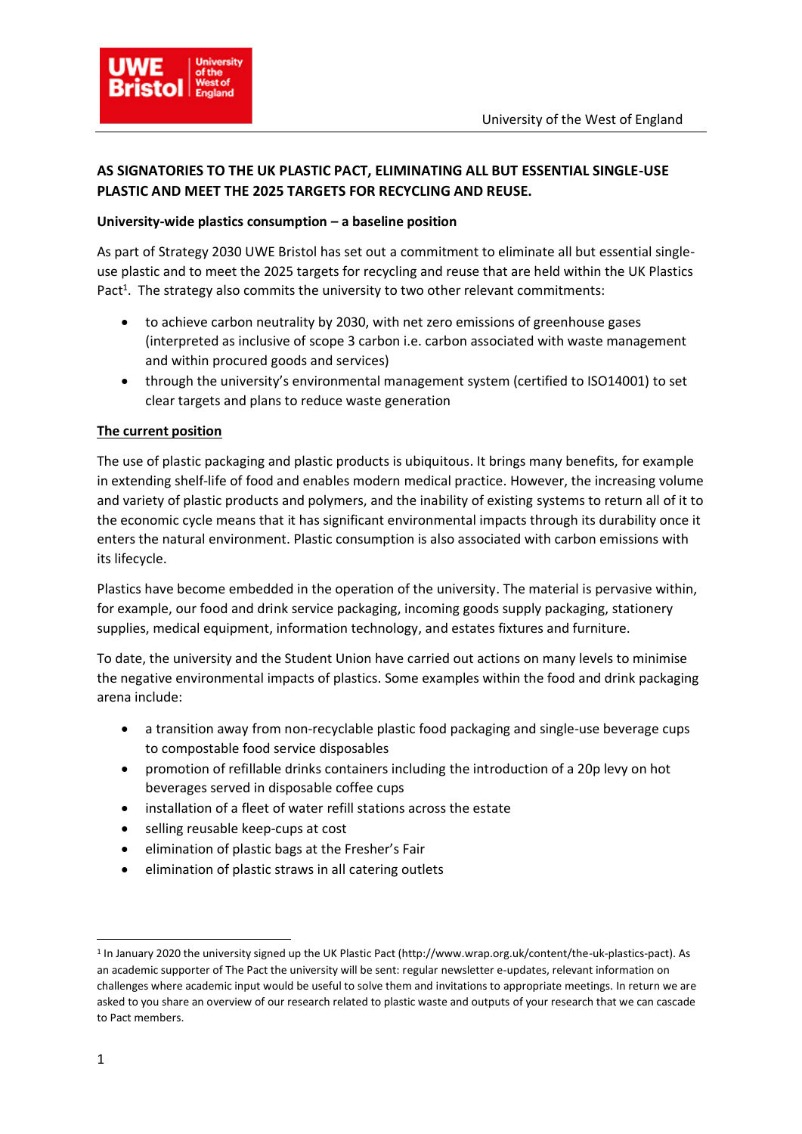

# **AS SIGNATORIES TO THE UK PLASTIC PACT, ELIMINATING ALL BUT ESSENTIAL SINGLE-USE PLASTIC AND MEET THE 2025 TARGETS FOR RECYCLING AND REUSE.**

#### **University-wide plastics consumption – a baseline position**

As part of Strategy 2030 UWE Bristol has set out a commitment to eliminate all but essential singleuse plastic and to meet the 2025 targets for recycling and reuse that are held within the UK Plastics Pact<sup>1</sup>. The strategy also commits the university to two other relevant commitments:

- to achieve carbon neutrality by 2030, with net zero emissions of greenhouse gases (interpreted as inclusive of scope 3 carbon i.e. carbon associated with waste management and within procured goods and services)
- through the university's environmental management system (certified to ISO14001) to set clear targets and plans to reduce waste generation

## **The current position**

The use of plastic packaging and plastic products is ubiquitous. It brings many benefits, for example in extending shelf-life of food and enables modern medical practice. However, the increasing volume and variety of plastic products and polymers, and the inability of existing systems to return all of it to the economic cycle means that it has significant environmental impacts through its durability once it enters the natural environment. Plastic consumption is also associated with carbon emissions with its lifecycle.

Plastics have become embedded in the operation of the university. The material is pervasive within, for example, our food and drink service packaging, incoming goods supply packaging, stationery supplies, medical equipment, information technology, and estates fixtures and furniture.

To date, the university and the Student Union have carried out actions on many levels to minimise the negative environmental impacts of plastics. Some examples within the food and drink packaging arena include:

- a transition away from non-recyclable plastic food packaging and single-use beverage cups to compostable food service disposables
- promotion of refillable drinks containers including the introduction of a 20p levy on hot beverages served in disposable coffee cups
- installation of a fleet of water refill stations across the estate
- selling reusable keep-cups at cost
- elimination of plastic bags at the Fresher's Fair
- elimination of plastic straws in all catering outlets

.

<sup>1</sup> In January 2020 the university signed up the UK Plastic Pact (http://www.wrap.org.uk/content/the-uk-plastics-pact). As an academic supporter of The Pact the university will be sent: regular newsletter e-updates, relevant information on challenges where academic input would be useful to solve them and invitations to appropriate meetings. In return we are asked to you share an overview of our research related to plastic waste and outputs of your research that we can cascade to Pact members.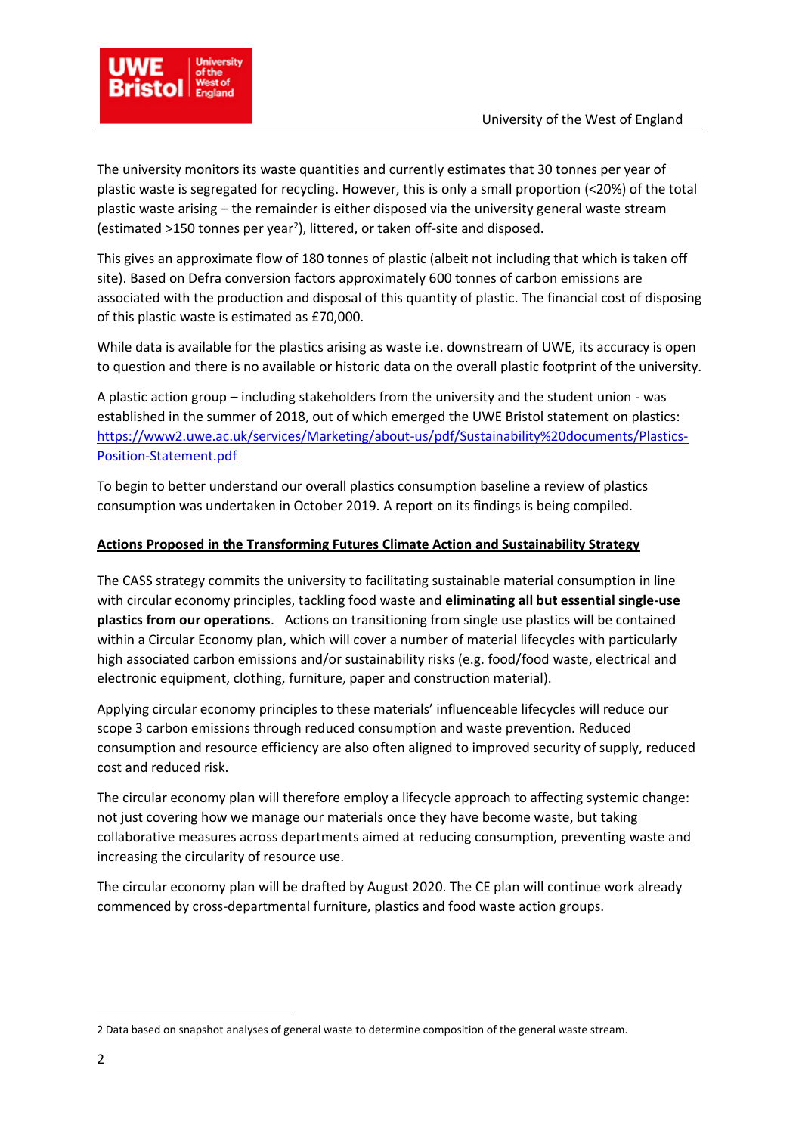

The university monitors its waste quantities and currently estimates that 30 tonnes per year of plastic waste is segregated for recycling. However, this is only a small proportion (<20%) of the total plastic waste arising – the remainder is either disposed via the university general waste stream (estimated >150 tonnes per year<sup>2</sup> ), littered, or taken off-site and disposed.

This gives an approximate flow of 180 tonnes of plastic (albeit not including that which is taken off site). Based on Defra conversion factors approximately 600 tonnes of carbon emissions are associated with the production and disposal of this quantity of plastic. The financial cost of disposing of this plastic waste is estimated as £70,000.

While data is available for the plastics arising as waste i.e. downstream of UWE, its accuracy is open to question and there is no available or historic data on the overall plastic footprint of the university.

A plastic action group – including stakeholders from the university and the student union - was established in the summer of 2018, out of which emerged the UWE Bristol statement on plastics: [https://www2.uwe.ac.uk/services/Marketing/about-us/pdf/Sustainability%20documents/Plastics-](https://www2.uwe.ac.uk/services/Marketing/about-us/pdf/Sustainability%20documents/Plastics-Position-Statement.pdf)[Position-Statement.pdf](https://www2.uwe.ac.uk/services/Marketing/about-us/pdf/Sustainability%20documents/Plastics-Position-Statement.pdf)

To begin to better understand our overall plastics consumption baseline a review of plastics consumption was undertaken in October 2019. A report on its findings is being compiled.

## **Actions Proposed in the Transforming Futures Climate Action and Sustainability Strategy**

The CASS strategy commits the university to facilitating sustainable material consumption in line with circular economy principles, tackling food waste and **eliminating all but essential single-use plastics from our operations**. Actions on transitioning from single use plastics will be contained within a Circular Economy plan, which will cover a number of material lifecycles with particularly high associated carbon emissions and/or sustainability risks (e.g. food/food waste, electrical and electronic equipment, clothing, furniture, paper and construction material).

Applying circular economy principles to these materials' influenceable lifecycles will reduce our scope 3 carbon emissions through reduced consumption and waste prevention. Reduced consumption and resource efficiency are also often aligned to improved security of supply, reduced cost and reduced risk.

The circular economy plan will therefore employ a lifecycle approach to affecting systemic change: not just covering how we manage our materials once they have become waste, but taking collaborative measures across departments aimed at reducing consumption, preventing waste and increasing the circularity of resource use.

The circular economy plan will be drafted by August 2020. The CE plan will continue work already commenced by cross-departmental furniture, plastics and food waste action groups.

.

<sup>2</sup> Data based on snapshot analyses of general waste to determine composition of the general waste stream.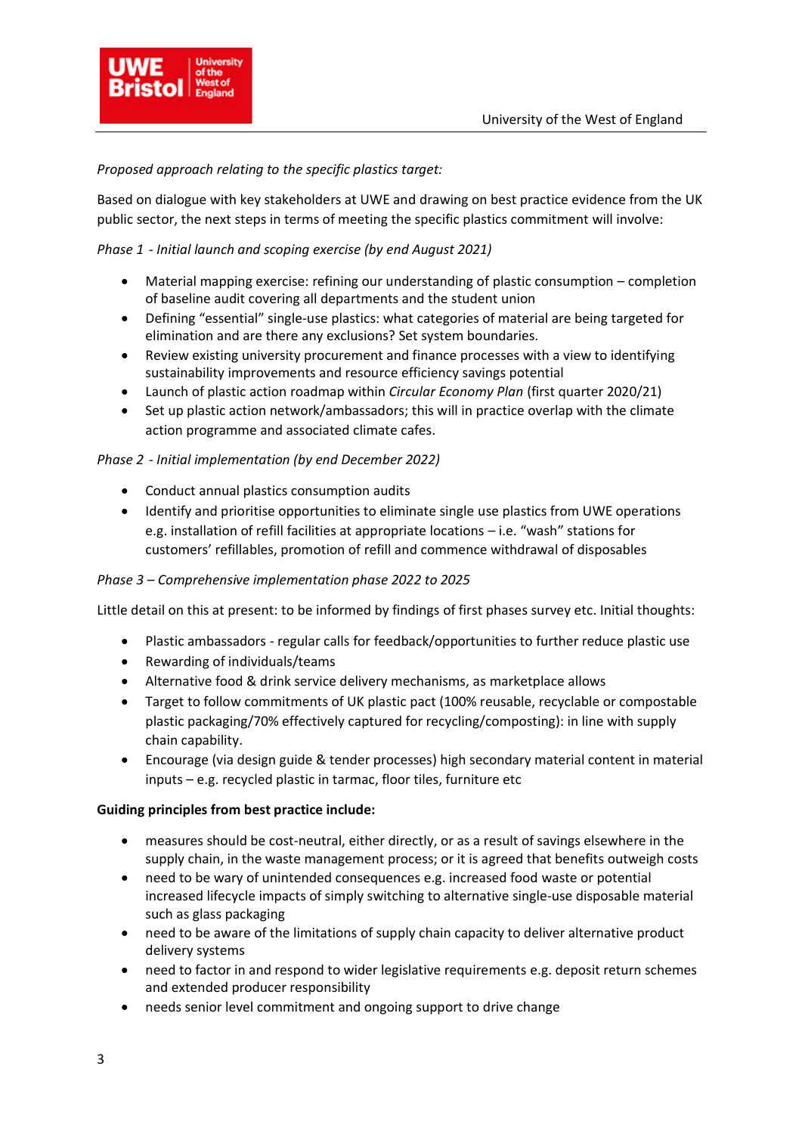

## *Proposed approach relating to the specific plastics target:*

Based on dialogue with key stakeholders at UWE and drawing on best practice evidence from the UK public sector, the next steps in terms of meeting the specific plastics commitment will involve:

## *Phase 1 - Initial launch and scoping exercise (by end August 2021)*

- Material mapping exercise: refining our understanding of plastic consumption completion of baseline audit covering all departments and the student union
- Defining "essential" single-use plastics: what categories of material are being targeted for elimination and are there any exclusions? Set system boundaries.
- Review existing university procurement and finance processes with a view to identifying sustainability improvements and resource efficiency savings potential
- Launch of plastic action roadmap within *Circular Economy Plan* (first quarter 2020/21)
- Set up plastic action network/ambassadors; this will in practice overlap with the climate action programme and associated climate cafes.

## *Phase 2 - Initial implementation (by end December 2022)*

- Conduct annual plastics consumption audits
- Identify and prioritise opportunities to eliminate single use plastics from UWE operations e.g. installation of refill facilities at appropriate locations – i.e. "wash" stations for customers' refillables, promotion of refill and commence withdrawal of disposables

## *Phase 3 – Comprehensive implementation phase 2022 to 2025*

Little detail on this at present: to be informed by findings of first phases survey etc. Initial thoughts:

- Plastic ambassadors regular calls for feedback/opportunities to further reduce plastic use
- Rewarding of individuals/teams
- Alternative food & drink service delivery mechanisms, as marketplace allows
- Target to follow commitments of UK plastic pact (100% reusable, recyclable or compostable plastic packaging/70% effectively captured for recycling/composting): in line with supply chain capability.
- Encourage (via design guide & tender processes) high secondary material content in material inputs – e.g. recycled plastic in tarmac, floor tiles, furniture etc

## **Guiding principles from best practice include:**

- measures should be cost-neutral, either directly, or as a result of savings elsewhere in the supply chain, in the waste management process; or it is agreed that benefits outweigh costs
- need to be wary of unintended consequences e.g. increased food waste or potential increased lifecycle impacts of simply switching to alternative single-use disposable material such as glass packaging
- need to be aware of the limitations of supply chain capacity to deliver alternative product delivery systems
- need to factor in and respond to wider legislative requirements e.g. deposit return schemes and extended producer responsibility
- needs senior level commitment and ongoing support to drive change